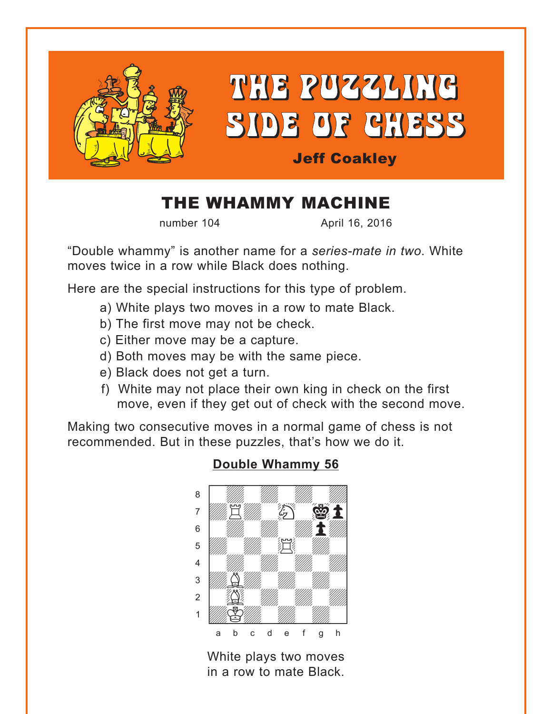<span id="page-0-0"></span>

# THE PUZZLING SIDE OF CHESS

# Jeff Coakley

# THE WHAMMY MACHINE

number 104 **April 16, 2016** 

"Double whammy" is another name for a *series-mate in two*. White moves twice in a row while Black does nothing.

Here are the special instructions for this type of problem.

- a) White plays two moves in a row to mate Black.
- b) The first move may not be check.
- c) Either move may be a capture.
- d) Both moves may be with the same piece.
- e) Black does not get a turn.
- f) White may not place their own king in check on the first move, even if they get out of check with the second move.

Making two consecutive moves in a normal game of chess is not recommended. But in these puzzles, that's how we do it.



#### **[Double Whammy 56](#page-5-0)**

White plays two moves in a row to mate Black.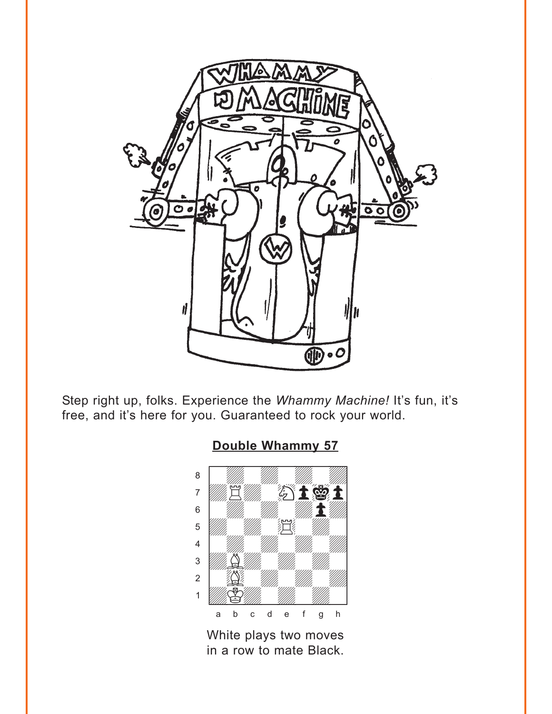<span id="page-1-0"></span>

Step right up, folks. Experience the *Whammy Machine!* It's fun, it's free, and it's here for you. Guaranteed to rock your world.

**[Double Whammy 57](#page-5-0)**



White plays two moves in a row to mate Black.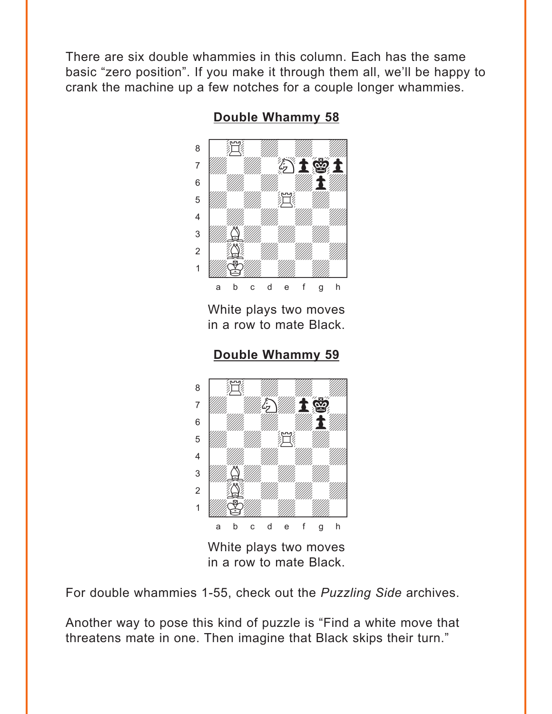<span id="page-2-0"></span>There are six double whammies in this column. Each has the same basic "zero position". If you make it through them all, we'll be happy to crank the machine up a few notches for a couple longer whammies.



**[Double Whammy 58](#page-6-0)**

White plays two moves in a row to mate Black.

**[Double Whammy 59](#page-6-0)**



White plays two moves in a row to mate Black.

For double whammies 1-55, check out the *Puzzling Side* archives.

Another way to pose this kind of puzzle is "Find a white move that threatens mate in one. Then imagine that Black skips their turn."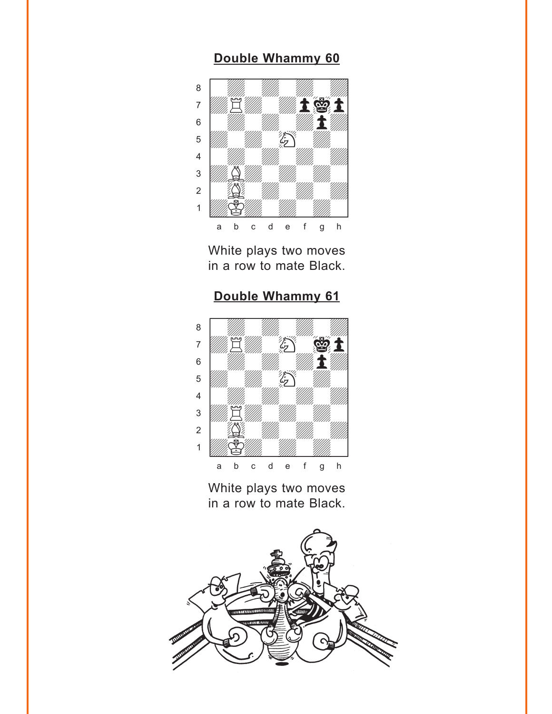#### **[Double Whammy 60](#page-7-0)**

<span id="page-3-0"></span>

White plays two moves in a row to mate Black.

# **[Double Whammy 61](#page-7-0)**



White plays two moves in a row to mate Black.

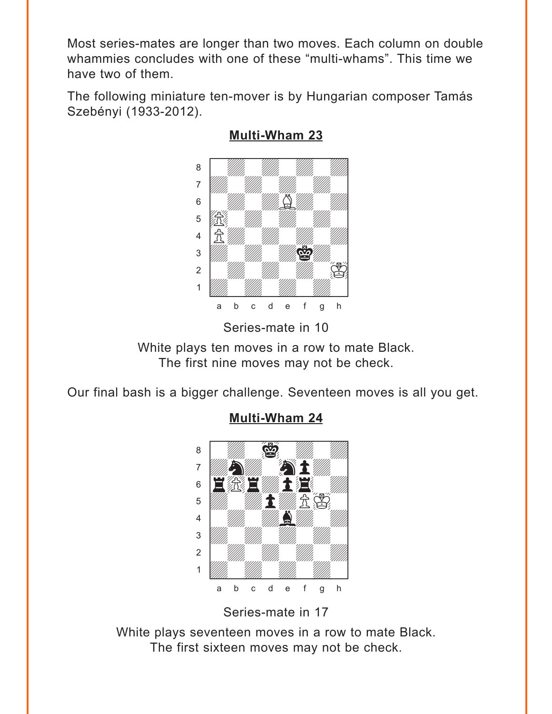<span id="page-4-0"></span>Most series-mates are longer than two moves. Each column on double whammies concludes with one of these "multi-whams". This time we have two of them.

The following miniature ten-mover is by Hungarian composer Tamás Szebényi (1933-2012).



## **[Multi-Wham 23](#page-8-0)**

Series-mate in 10

White plays ten moves in a row to mate Black. The first nine moves may not be check.

Our final bash is a bigger challenge. Seventeen moves is all you get.

# where  $\frac{1}{2}$  and  $\frac{1}{2}$  and  $\frac{1}{2}$  and  $\frac{1}{2}$  and  $\frac{1}{2}$ áwdwiwdwd]  $\mathcal{A}$  and  $\mathcal{A}$  $6$   $\blacksquare$  $\mathbf{E}$  with  $\mathbf{E}$  with  $\mathbf{E}$ 4 William William Mille 3 *William William William William 1* 2 | *William William William William 1* 1 *Uddy William William William Communication* a b c d e f g h

**[Multi-Wham 24](#page-9-0)**

Series-mate in 17

White plays seventeen moves in a row to mate Black. The first sixteen moves may not be check.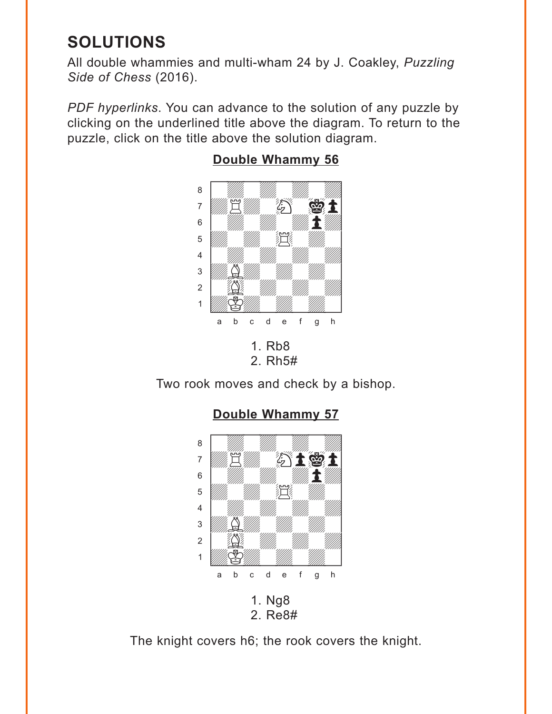# <span id="page-5-0"></span>**SOLUTIONS**

All double whammies and multi-wham 24 by J. Coakley, *Puzzling Side of Chess* (2016).

*PDF hyperlinks*. You can advance to the solution of any puzzle by clicking on the underlined title above the diagram. To return to the puzzle, click on the title above the solution diagram.



# **[Double Whammy 56](#page-0-0)**



Two rook moves and check by a bishop.



**[Double Whammy 57](#page-1-0)**

The knight covers h6; the rook covers the knight.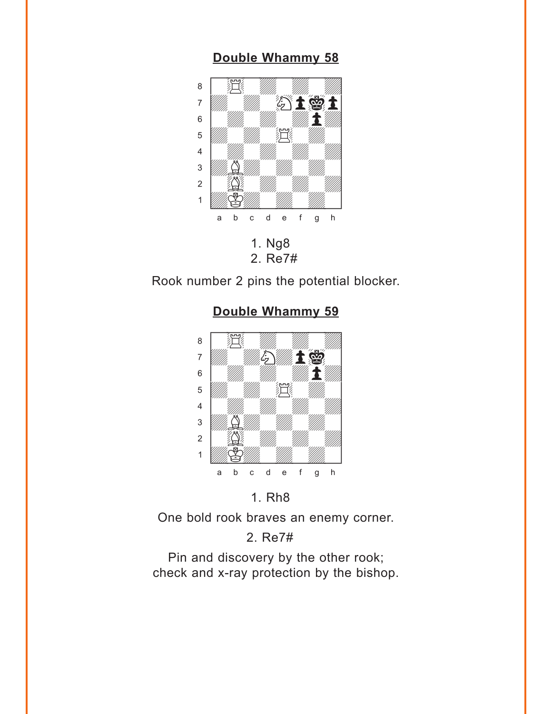#### **[Double Whammy 58](#page-2-0)**

<span id="page-6-0"></span>

2. Re7#

Rook number 2 pins the potential blocker.



#### **[Double Whammy 59](#page-2-0)**

#### 1. Rh8

One bold rook braves an enemy corner.

## 2. Re7#

Pin and discovery by the other rook; check and x-ray protection by the bishop.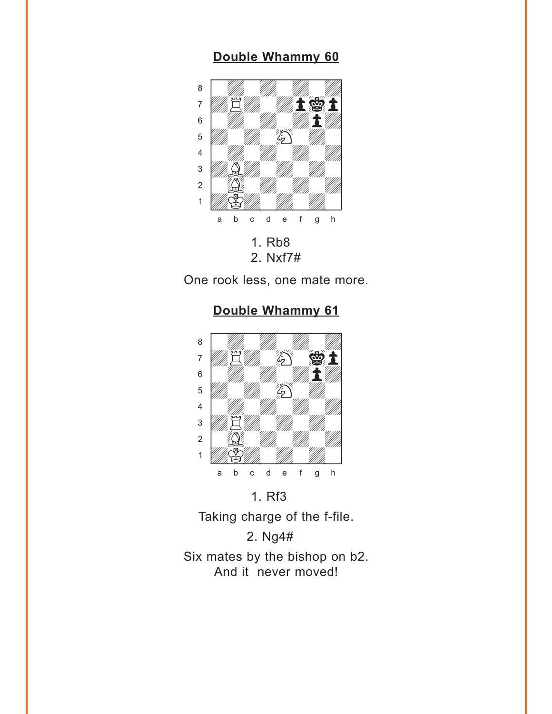# **[Double Whammy 60](#page-3-0)**

<span id="page-7-0"></span>

One rook less, one mate more.

**[Double Whammy 61](#page-3-0)**



1. Rf3

Taking charge of the f-file.

2. Ng4#

Six mates by the bishop on b2. And it never moved!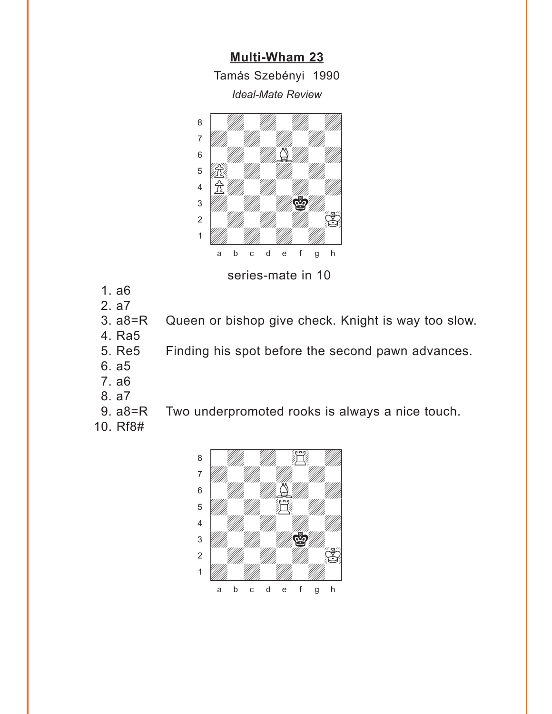**[Multi-Wham 23](#page-4-0)** Tamás Szebényi 1990 *Ideal-Mate Review*

<span id="page-8-0"></span>

series-mate in 10

- 1. a6
- 2. a7
- 3. a8=R Queen or bishop give check. Knight is way too slow.
- 4. Ra5
- 5. Re5 Finding his spot before the second pawn advances.
- 6. a5
- 7. a6
- 8. a7
- 9. a8=R Two underpromoted rooks is always a nice touch.
- 10. Rf8#

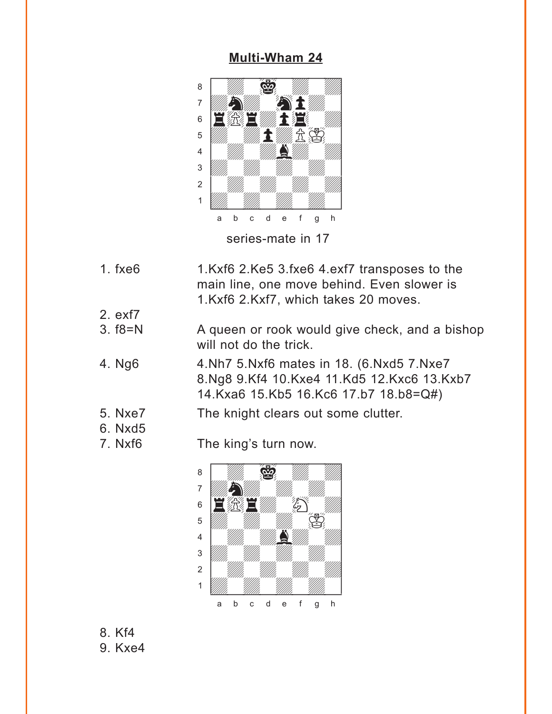#### **[Multi-Wham 24](#page-4-0)**

<span id="page-9-0"></span>

- 1. fxe6 1.Kxf6 2.Ke5 3.fxe6 4.exf7 transposes to the main line, one move behind. Even slower is 1.Kxf6 2.Kxf7, which takes 20 moves.
- 2. exf7
- 3. f8=N A queen or rook would give check, and a bishop will not do the trick.
- 4. Ng6 4.Nh7 5.Nxf6 mates in 18. (6.Nxd5 7.Nxe7 8.Ng8 9.Kf4 10.Kxe4 11.Kd5 12.Kxc6 13.Kxb7 14.Kxa6 15.Kb5 16.Kc6 17.b7 18.b8=Q#)
- 5. Nxe7 The knight clears out some clutter.
- 6. Nxd5
- 

7. Nxf6 The king's turn now.



8. Kf4 9. Kxe4